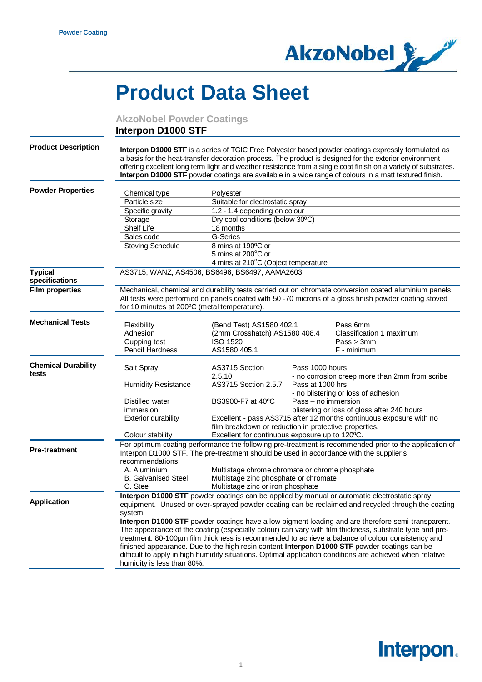

## **Product Data Sheet**

**AkzoNobel Powder Coatings**

## **Interpon D1000 STF**

| <b>Product Description</b>       |                                                                                                                                               |                                                                                                   |                     | Interpon D1000 STF is a series of TGIC Free Polyester based powder coatings expressly formulated as<br>a basis for the heat-transfer decoration process. The product is designed for the exterior environment<br>offering excellent long term light and weather resistance from a single coat finish on a variety of substrates.<br>Interpon D1000 STF powder coatings are available in a wide range of colours in a matt textured finish. |  |
|----------------------------------|-----------------------------------------------------------------------------------------------------------------------------------------------|---------------------------------------------------------------------------------------------------|---------------------|--------------------------------------------------------------------------------------------------------------------------------------------------------------------------------------------------------------------------------------------------------------------------------------------------------------------------------------------------------------------------------------------------------------------------------------------|--|
| <b>Powder Properties</b>         |                                                                                                                                               |                                                                                                   |                     |                                                                                                                                                                                                                                                                                                                                                                                                                                            |  |
|                                  | Chemical type                                                                                                                                 | Polyester                                                                                         |                     |                                                                                                                                                                                                                                                                                                                                                                                                                                            |  |
|                                  | Particle size                                                                                                                                 | Suitable for electrostatic spray                                                                  |                     |                                                                                                                                                                                                                                                                                                                                                                                                                                            |  |
|                                  | Specific gravity                                                                                                                              | 1.2 - 1.4 depending on colour                                                                     |                     |                                                                                                                                                                                                                                                                                                                                                                                                                                            |  |
|                                  | Storage                                                                                                                                       | Dry cool conditions (below 30°C)<br>18 months                                                     |                     |                                                                                                                                                                                                                                                                                                                                                                                                                                            |  |
|                                  | <b>Shelf Life</b><br>Sales code                                                                                                               | G-Series                                                                                          |                     |                                                                                                                                                                                                                                                                                                                                                                                                                                            |  |
|                                  | <b>Stoving Schedule</b>                                                                                                                       | 8 mins at 190°C or                                                                                |                     |                                                                                                                                                                                                                                                                                                                                                                                                                                            |  |
|                                  |                                                                                                                                               | 5 mins at 200°C or                                                                                |                     |                                                                                                                                                                                                                                                                                                                                                                                                                                            |  |
|                                  |                                                                                                                                               | 4 mins at 210°C (Object temperature                                                               |                     |                                                                                                                                                                                                                                                                                                                                                                                                                                            |  |
| <b>Typical</b><br>specifications |                                                                                                                                               | AS3715, WANZ, AS4506, BS6496, BS6497, AAMA2603                                                    |                     |                                                                                                                                                                                                                                                                                                                                                                                                                                            |  |
| <b>Film properties</b>           | for 10 minutes at 200°C (metal temperature).                                                                                                  |                                                                                                   |                     | Mechanical, chemical and durability tests carried out on chromate conversion coated aluminium panels.<br>All tests were performed on panels coated with 50 -70 microns of a gloss finish powder coating stoved                                                                                                                                                                                                                             |  |
| <b>Mechanical Tests</b>          | Flexibility                                                                                                                                   | (Bend Test) AS1580 402.1                                                                          |                     | Pass 6mm                                                                                                                                                                                                                                                                                                                                                                                                                                   |  |
|                                  | Adhesion                                                                                                                                      | (2mm Crosshatch) AS1580 408.4                                                                     |                     | Classification 1 maximum                                                                                                                                                                                                                                                                                                                                                                                                                   |  |
|                                  | Cupping test                                                                                                                                  | <b>ISO 1520</b>                                                                                   |                     | Pass > 3mm                                                                                                                                                                                                                                                                                                                                                                                                                                 |  |
|                                  | <b>Pencil Hardness</b>                                                                                                                        | AS1580 405.1                                                                                      |                     | F - minimum                                                                                                                                                                                                                                                                                                                                                                                                                                |  |
| <b>Chemical Durability</b>       |                                                                                                                                               | AS3715 Section                                                                                    | Pass 1000 hours     |                                                                                                                                                                                                                                                                                                                                                                                                                                            |  |
| tests                            | Salt Spray                                                                                                                                    | 2.5.10                                                                                            |                     | - no corrosion creep more than 2mm from scribe                                                                                                                                                                                                                                                                                                                                                                                             |  |
|                                  | <b>Humidity Resistance</b>                                                                                                                    | AS3715 Section 2.5.7                                                                              | Pass at 1000 hrs    |                                                                                                                                                                                                                                                                                                                                                                                                                                            |  |
|                                  |                                                                                                                                               |                                                                                                   |                     | - no blistering or loss of adhesion                                                                                                                                                                                                                                                                                                                                                                                                        |  |
|                                  | Distilled water                                                                                                                               | BS3900-F7 at 40°C                                                                                 | Pass - no immersion |                                                                                                                                                                                                                                                                                                                                                                                                                                            |  |
|                                  | immersion                                                                                                                                     | blistering or loss of gloss after 240 hours                                                       |                     |                                                                                                                                                                                                                                                                                                                                                                                                                                            |  |
|                                  | <b>Exterior durability</b>                                                                                                                    | Excellent - pass AS3715 after 12 months continuous exposure with no                               |                     |                                                                                                                                                                                                                                                                                                                                                                                                                                            |  |
|                                  |                                                                                                                                               | film breakdown or reduction in protective properties.                                             |                     |                                                                                                                                                                                                                                                                                                                                                                                                                                            |  |
|                                  | Colour stability                                                                                                                              | Excellent for continuous exposure up to 120°C.                                                    |                     |                                                                                                                                                                                                                                                                                                                                                                                                                                            |  |
| <b>Pre-treatment</b>             | For optimum coating performance the following pre-treatment is recommended prior to the application of                                        |                                                                                                   |                     |                                                                                                                                                                                                                                                                                                                                                                                                                                            |  |
|                                  | Interpon D1000 STF. The pre-treatment should be used in accordance with the supplier's                                                        |                                                                                                   |                     |                                                                                                                                                                                                                                                                                                                                                                                                                                            |  |
|                                  | recommendations.                                                                                                                              |                                                                                                   |                     |                                                                                                                                                                                                                                                                                                                                                                                                                                            |  |
|                                  | A. Aluminium                                                                                                                                  | Multistage chrome chromate or chrome phosphate                                                    |                     |                                                                                                                                                                                                                                                                                                                                                                                                                                            |  |
|                                  | <b>B.</b> Galvanised Steel                                                                                                                    | Multistage zinc phosphate or chromate                                                             |                     |                                                                                                                                                                                                                                                                                                                                                                                                                                            |  |
|                                  | C. Steel<br>Multistage zinc or iron phosphate<br>Interpon D1000 STF powder coatings can be applied by manual or automatic electrostatic spray |                                                                                                   |                     |                                                                                                                                                                                                                                                                                                                                                                                                                                            |  |
| <b>Application</b>               |                                                                                                                                               |                                                                                                   |                     |                                                                                                                                                                                                                                                                                                                                                                                                                                            |  |
|                                  | equipment. Unused or over-sprayed powder coating can be reclaimed and recycled through the coating                                            |                                                                                                   |                     |                                                                                                                                                                                                                                                                                                                                                                                                                                            |  |
|                                  |                                                                                                                                               | Interpon D1000 STF powder coatings have a low pigment loading and are therefore semi-transparent. |                     |                                                                                                                                                                                                                                                                                                                                                                                                                                            |  |
|                                  | system.                                                                                                                                       |                                                                                                   |                     |                                                                                                                                                                                                                                                                                                                                                                                                                                            |  |
|                                  |                                                                                                                                               |                                                                                                   |                     |                                                                                                                                                                                                                                                                                                                                                                                                                                            |  |
|                                  |                                                                                                                                               |                                                                                                   |                     | The appearance of the coating (especially colour) can vary with film thickness, substrate type and pre-                                                                                                                                                                                                                                                                                                                                    |  |
|                                  |                                                                                                                                               |                                                                                                   |                     | treatment. 80-100µm film thickness is recommended to achieve a balance of colour consistency and                                                                                                                                                                                                                                                                                                                                           |  |
|                                  |                                                                                                                                               |                                                                                                   |                     | finished appearance. Due to the high resin content Interpon D1000 STF powder coatings can be<br>difficult to apply in high humidity situations. Optimal application conditions are achieved when relative                                                                                                                                                                                                                                  |  |

## **Interpon.**